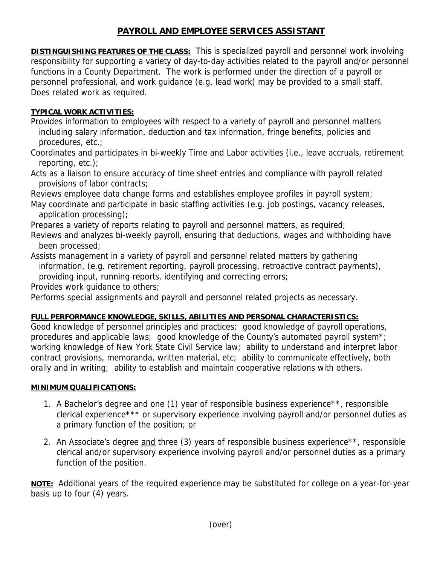## **PAYROLL AND EMPLOYEE SERVICES ASSISTANT**

**DISTINGUISHING FEATURES OF THE CLASS:** This is specialized payroll and personnel work involving responsibility for supporting a variety of day-to-day activities related to the payroll and/or personnel functions in a County Department. The work is performed under the direction of a payroll or personnel professional, and work guidance (e.g. lead work) may be provided to a small staff. Does related work as required.

## **TYPICAL WORK ACTIVITIES:**

Provides information to employees with respect to a variety of payroll and personnel matters including salary information, deduction and tax information, fringe benefits, policies and procedures, etc.;

Coordinates and participates in bi-weekly Time and Labor activities (i.e., leave accruals, retirement reporting, etc.);

Acts as a liaison to ensure accuracy of time sheet entries and compliance with payroll related provisions of labor contracts;

Reviews employee data change forms and establishes employee profiles in payroll system;

May coordinate and participate in basic staffing activities (e.g. job postings, vacancy releases, application processing);

Prepares a variety of reports relating to payroll and personnel matters, as required;

Reviews and analyzes bi-weekly payroll, ensuring that deductions, wages and withholding have been processed;

Assists management in a variety of payroll and personnel related matters by gathering information, (e.g. retirement reporting, payroll processing, retroactive contract payments), providing input, running reports, identifying and correcting errors;

Provides work guidance to others;

Performs special assignments and payroll and personnel related projects as necessary.

## **FULL PERFORMANCE KNOWLEDGE, SKILLS, ABILITIES AND PERSONAL CHARACTERISTICS:**

Good knowledge of personnel principles and practices; good knowledge of payroll operations, procedures and applicable laws; good knowledge of the County's automated payroll system\*; working knowledge of New York State Civil Service law; ability to understand and interpret labor contract provisions, memoranda, written material, etc; ability to communicate effectively, both orally and in writing; ability to establish and maintain cooperative relations with others.

## **MINIMUM QUALIFICATIONS:**

- 1. A Bachelor's degree and one (1) year of responsible business experience\*\*, responsible clerical experience\*\*\* or supervisory experience involving payroll and/or personnel duties as a primary function of the position; or
- 2. An Associate's degree and three (3) years of responsible business experience\*\*, responsible clerical and/or supervisory experience involving payroll and/or personnel duties as a primary function of the position.

**NOTE:** Additional years of the required experience may be substituted for college on a year-for-year basis up to four (4) years.